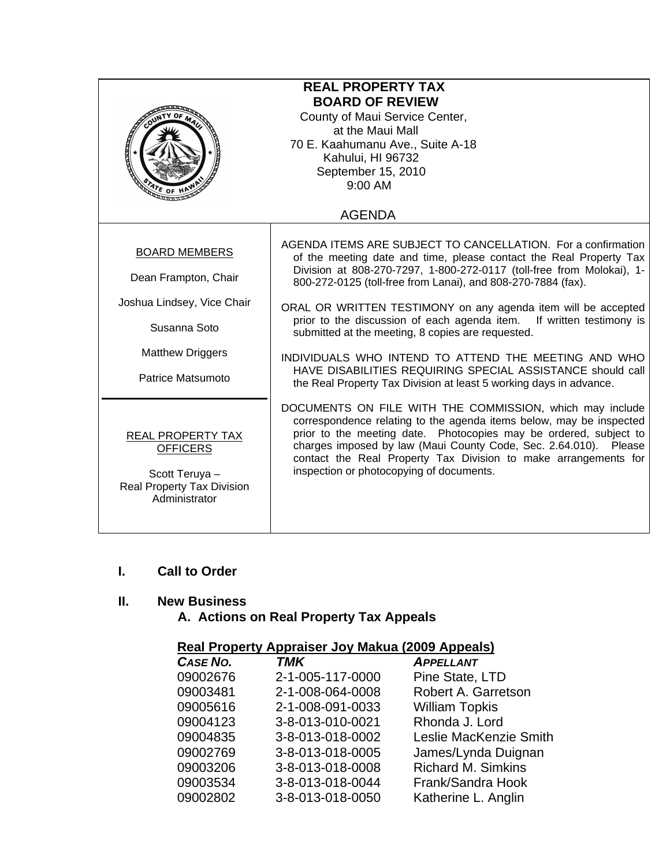| <b>REAL PROPERTY TAX</b><br><b>BOARD OF REVIEW</b><br>County of Maui Service Center,<br>at the Maui Mall<br>70 E. Kaahumanu Ave., Suite A-18<br>Kahului, HI 96732<br>September 15, 2010<br>9:00 AM<br>$\mathbf{v}_{\mathbf{F}}$ of |                                                                                                                                                                                                                                                                                                                                                                                                                                                                                                                                                                                                                                                                       |  |
|------------------------------------------------------------------------------------------------------------------------------------------------------------------------------------------------------------------------------------|-----------------------------------------------------------------------------------------------------------------------------------------------------------------------------------------------------------------------------------------------------------------------------------------------------------------------------------------------------------------------------------------------------------------------------------------------------------------------------------------------------------------------------------------------------------------------------------------------------------------------------------------------------------------------|--|
|                                                                                                                                                                                                                                    | <b>AGENDA</b>                                                                                                                                                                                                                                                                                                                                                                                                                                                                                                                                                                                                                                                         |  |
| <b>BOARD MEMBERS</b><br>Dean Frampton, Chair<br>Joshua Lindsey, Vice Chair<br>Susanna Soto<br><b>Matthew Driggers</b><br>Patrice Matsumoto                                                                                         | AGENDA ITEMS ARE SUBJECT TO CANCELLATION. For a confirmation<br>of the meeting date and time, please contact the Real Property Tax<br>Division at 808-270-7297, 1-800-272-0117 (toll-free from Molokai), 1-<br>800-272-0125 (toll-free from Lanai), and 808-270-7884 (fax).<br>ORAL OR WRITTEN TESTIMONY on any agenda item will be accepted<br>prior to the discussion of each agenda item. If written testimony is<br>submitted at the meeting, 8 copies are requested.<br>INDIVIDUALS WHO INTEND TO ATTEND THE MEETING AND WHO<br>HAVE DISABILITIES REQUIRING SPECIAL ASSISTANCE should call<br>the Real Property Tax Division at least 5 working days in advance. |  |
| REAL PROPERTY TAX<br><b>OFFICERS</b><br>Scott Teruya -<br>Real Property Tax Division<br>Administrator                                                                                                                              | DOCUMENTS ON FILE WITH THE COMMISSION, which may include<br>correspondence relating to the agenda items below, may be inspected<br>prior to the meeting date. Photocopies may be ordered, subject to<br>charges imposed by law (Maui County Code, Sec. 2.64.010). Please<br>contact the Real Property Tax Division to make arrangements for<br>inspection or photocopying of documents.                                                                                                                                                                                                                                                                               |  |

#### **I. Call to Order**

#### **II. New Business**

# **A. Actions on Real Property Tax Appeals**

## **Real Property Appraiser Joy Makua (2009 Appeals)**

| CASE NO. | <b>TMK</b>       | <b>APPELLANT</b>          |
|----------|------------------|---------------------------|
| 09002676 | 2-1-005-117-0000 | Pine State, LTD           |
| 09003481 | 2-1-008-064-0008 | Robert A. Garretson       |
| 09005616 | 2-1-008-091-0033 | <b>William Topkis</b>     |
| 09004123 | 3-8-013-010-0021 | Rhonda J. Lord            |
| 09004835 | 3-8-013-018-0002 | Leslie MacKenzie Smith    |
| 09002769 | 3-8-013-018-0005 | James/Lynda Duignan       |
| 09003206 | 3-8-013-018-0008 | <b>Richard M. Simkins</b> |
| 09003534 | 3-8-013-018-0044 | Frank/Sandra Hook         |
| 09002802 | 3-8-013-018-0050 | Katherine L. Anglin       |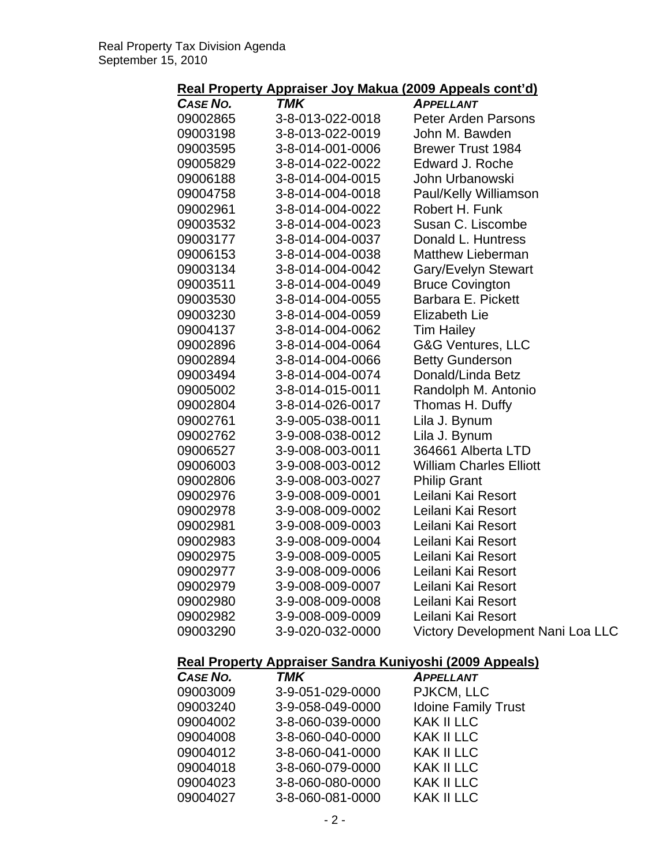| <u> Kull Republicy</u> | <u>Applaiser ou</u><br>wanaa | <u>Luus Appuulu vulit uj</u>     |
|------------------------|------------------------------|----------------------------------|
| CASE NO.               | <b>TMK</b>                   | <b>APPELLANT</b>                 |
| 09002865               | 3-8-013-022-0018             | <b>Peter Arden Parsons</b>       |
| 09003198               | 3-8-013-022-0019             | John M. Bawden                   |
| 09003595               | 3-8-014-001-0006             | <b>Brewer Trust 1984</b>         |
| 09005829               | 3-8-014-022-0022             | Edward J. Roche                  |
| 09006188               | 3-8-014-004-0015             | John Urbanowski                  |
| 09004758               | 3-8-014-004-0018             | Paul/Kelly Williamson            |
| 09002961               | 3-8-014-004-0022             | Robert H. Funk                   |
| 09003532               | 3-8-014-004-0023             | Susan C. Liscombe                |
| 09003177               | 3-8-014-004-0037             | Donald L. Huntress               |
| 09006153               | 3-8-014-004-0038             | <b>Matthew Lieberman</b>         |
| 09003134               | 3-8-014-004-0042             | Gary/Evelyn Stewart              |
| 09003511               | 3-8-014-004-0049             | <b>Bruce Covington</b>           |
| 09003530               | 3-8-014-004-0055             | Barbara E. Pickett               |
| 09003230               | 3-8-014-004-0059             | <b>Elizabeth Lie</b>             |
| 09004137               | 3-8-014-004-0062             | <b>Tim Hailey</b>                |
| 09002896               | 3-8-014-004-0064             | G&G Ventures, LLC                |
| 09002894               | 3-8-014-004-0066             | <b>Betty Gunderson</b>           |
| 09003494               | 3-8-014-004-0074             | Donald/Linda Betz                |
| 09005002               | 3-8-014-015-0011             | Randolph M. Antonio              |
| 09002804               | 3-8-014-026-0017             | Thomas H. Duffy                  |
| 09002761               | 3-9-005-038-0011             | Lila J. Bynum                    |
| 09002762               | 3-9-008-038-0012             | Lila J. Bynum                    |
| 09006527               | 3-9-008-003-0011             | 364661 Alberta LTD               |
| 09006003               | 3-9-008-003-0012             | <b>William Charles Elliott</b>   |
| 09002806               | 3-9-008-003-0027             | <b>Philip Grant</b>              |
| 09002976               | 3-9-008-009-0001             | Leilani Kai Resort               |
| 09002978               | 3-9-008-009-0002             | Leilani Kai Resort               |
| 09002981               | 3-9-008-009-0003             | Leilani Kai Resort               |
| 09002983               | 3-9-008-009-0004             | Leilani Kai Resort               |
| 09002975               | 3-9-008-009-0005             | Leilani Kai Resort               |
| 09002977               | 3-9-008-009-0006             | Leilani Kai Resort               |
| 09002979               | 3-9-008-009-0007             | Leilani Kai Resort               |
| 09002980               | 3-9-008-009-0008             | Leilani Kai Resort               |
| 09002982               | 3-9-008-009-0009             | Leilani Kai Resort               |
| 09003290               | 3-9-020-032-0000             | Victory Development Nani Loa LLC |
|                        |                              |                                  |

### **Real Property Appraiser Sandra Kuniyoshi (2009 Appeals)**

| CASE NO. | <b>TMK</b>       | <b>APPELLANT</b>           |
|----------|------------------|----------------------------|
| 09003009 | 3-9-051-029-0000 | PJKCM, LLC                 |
| 09003240 | 3-9-058-049-0000 | <b>Idoine Family Trust</b> |
| 09004002 | 3-8-060-039-0000 | <b>KAK II LLC</b>          |
| 09004008 | 3-8-060-040-0000 | <b>KAK II LLC</b>          |
| 09004012 | 3-8-060-041-0000 | <b>KAK II LLC</b>          |
| 09004018 | 3-8-060-079-0000 | <b>KAK II LLC</b>          |
| 09004023 | 3-8-060-080-0000 | <b>KAK II LLC</b>          |
| 09004027 | 3-8-060-081-0000 | <b>KAK II LLC</b>          |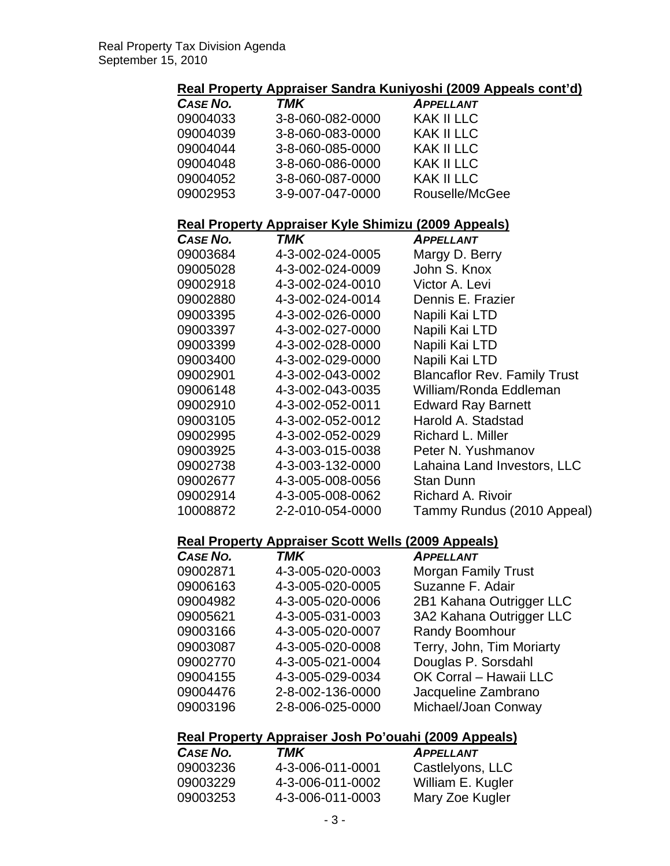#### **Real Property Appraiser Sandra Kuniyoshi (2009 Appeals cont'd)**

| CASE NO. | <b>TMK</b>       | <b>APPELLANT</b>  |
|----------|------------------|-------------------|
| 09004033 | 3-8-060-082-0000 | KAK II LLC        |
| 09004039 | 3-8-060-083-0000 | KAK II LLC        |
| 09004044 | 3-8-060-085-0000 | KAK II LLC        |
| 09004048 | 3-8-060-086-0000 | <b>KAK II LLC</b> |
| 09004052 | 3-8-060-087-0000 | <b>KAK II LLC</b> |
| 09002953 | 3-9-007-047-0000 | Rouselle/McGee    |
|          |                  |                   |

#### **Real Property Appraiser Kyle Shimizu (2009 Appeals)**

| CASE NO. | TMK              | <b>APPELLANT</b>                    |
|----------|------------------|-------------------------------------|
| 09003684 | 4-3-002-024-0005 | Margy D. Berry                      |
| 09005028 | 4-3-002-024-0009 | John S. Knox                        |
| 09002918 | 4-3-002-024-0010 | Victor A. Levi                      |
| 09002880 | 4-3-002-024-0014 | Dennis E. Frazier                   |
| 09003395 | 4-3-002-026-0000 | Napili Kai LTD                      |
| 09003397 | 4-3-002-027-0000 | Napili Kai LTD                      |
| 09003399 | 4-3-002-028-0000 | Napili Kai LTD                      |
| 09003400 | 4-3-002-029-0000 | Napili Kai LTD                      |
| 09002901 | 4-3-002-043-0002 | <b>Blancaflor Rev. Family Trust</b> |
| 09006148 | 4-3-002-043-0035 | William/Ronda Eddleman              |
| 09002910 | 4-3-002-052-0011 | <b>Edward Ray Barnett</b>           |
| 09003105 | 4-3-002-052-0012 | Harold A. Stadstad                  |
| 09002995 | 4-3-002-052-0029 | Richard L. Miller                   |
| 09003925 | 4-3-003-015-0038 | Peter N. Yushmanov                  |
| 09002738 | 4-3-003-132-0000 | Lahaina Land Investors, LLC         |
| 09002677 | 4-3-005-008-0056 | Stan Dunn                           |
| 09002914 | 4-3-005-008-0062 | <b>Richard A. Rivoir</b>            |
| 10008872 | 2-2-010-054-0000 | Tammy Rundus (2010 Appeal)          |
|          |                  |                                     |

#### **Real Property Appraiser Scott Wells (2009 Appeals)**

| CASE NO. | <b>TMK</b>       | <b>APPELLANT</b>           |
|----------|------------------|----------------------------|
| 09002871 | 4-3-005-020-0003 | <b>Morgan Family Trust</b> |
| 09006163 | 4-3-005-020-0005 | Suzanne F. Adair           |
| 09004982 | 4-3-005-020-0006 | 2B1 Kahana Outrigger LLC   |
| 09005621 | 4-3-005-031-0003 | 3A2 Kahana Outrigger LLC   |
| 09003166 | 4-3-005-020-0007 | Randy Boomhour             |
| 09003087 | 4-3-005-020-0008 | Terry, John, Tim Moriarty  |
| 09002770 | 4-3-005-021-0004 | Douglas P. Sorsdahl        |
| 09004155 | 4-3-005-029-0034 | OK Corral - Hawaii LLC     |
| 09004476 | 2-8-002-136-0000 | Jacqueline Zambrano        |
| 09003196 | 2-8-006-025-0000 | Michael/Joan Conway        |
|          |                  |                            |

#### **Real Property Appraiser Josh Po'ouahi (2009 Appeals)**

| CASE NO. | TMK              | <b>APPELLANT</b>  |
|----------|------------------|-------------------|
| 09003236 | 4-3-006-011-0001 | Castlelyons, LLC  |
| 09003229 | 4-3-006-011-0002 | William E. Kugler |
| 09003253 | 4-3-006-011-0003 | Mary Zoe Kugler   |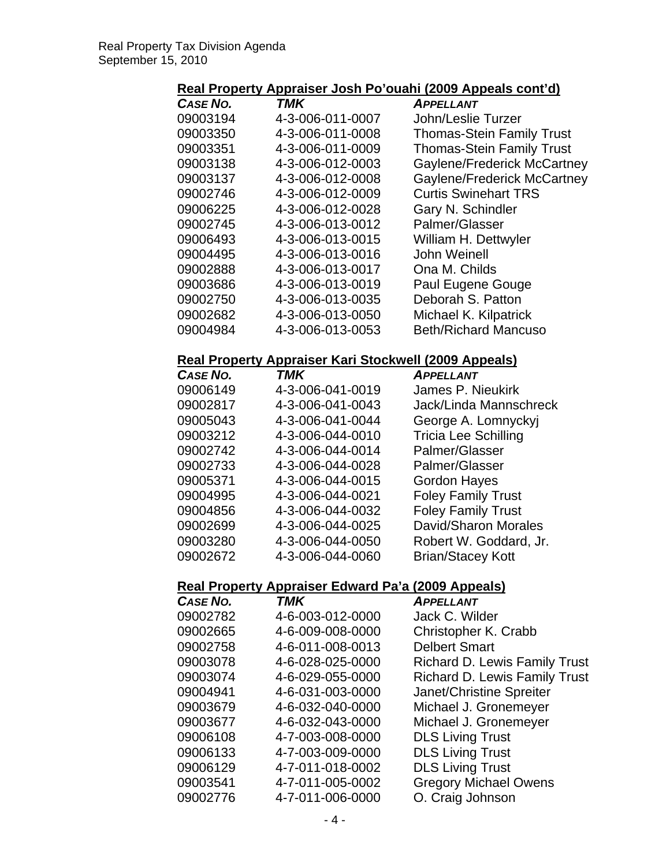## **Real Property Appraiser Josh Po'ouahi (2009 Appeals cont'd)**

| CASE NO. | <b>TMK</b>       | <b>APPELLANT</b>                 |
|----------|------------------|----------------------------------|
| 09003194 | 4-3-006-011-0007 | John/Leslie Turzer               |
| 09003350 | 4-3-006-011-0008 | <b>Thomas-Stein Family Trust</b> |
| 09003351 | 4-3-006-011-0009 | <b>Thomas-Stein Family Trust</b> |
| 09003138 | 4-3-006-012-0003 | Gaylene/Frederick McCartney      |
| 09003137 | 4-3-006-012-0008 | Gaylene/Frederick McCartney      |
| 09002746 | 4-3-006-012-0009 | <b>Curtis Swinehart TRS</b>      |
| 09006225 | 4-3-006-012-0028 | Gary N. Schindler                |
| 09002745 | 4-3-006-013-0012 | Palmer/Glasser                   |
| 09006493 | 4-3-006-013-0015 | William H. Dettwyler             |
| 09004495 | 4-3-006-013-0016 | John Weinell                     |
| 09002888 | 4-3-006-013-0017 | Ona M. Childs                    |
| 09003686 | 4-3-006-013-0019 | Paul Eugene Gouge                |
| 09002750 | 4-3-006-013-0035 | Deborah S. Patton                |
| 09002682 | 4-3-006-013-0050 | Michael K. Kilpatrick            |
| 09004984 | 4-3-006-013-0053 | <b>Beth/Richard Mancuso</b>      |

#### **Real Property Appraiser Kari Stockwell (2009 Appeals)**

| CASE NO. | <b>TMK</b>       | <b>APPELLANT</b>            |
|----------|------------------|-----------------------------|
| 09006149 | 4-3-006-041-0019 | James P. Nieukirk           |
| 09002817 | 4-3-006-041-0043 | Jack/Linda Mannschreck      |
| 09005043 | 4-3-006-041-0044 | George A. Lomnyckyj         |
| 09003212 | 4-3-006-044-0010 | <b>Tricia Lee Schilling</b> |
| 09002742 | 4-3-006-044-0014 | Palmer/Glasser              |
| 09002733 | 4-3-006-044-0028 | Palmer/Glasser              |
| 09005371 | 4-3-006-044-0015 | <b>Gordon Hayes</b>         |
| 09004995 | 4-3-006-044-0021 | <b>Foley Family Trust</b>   |
| 09004856 | 4-3-006-044-0032 | <b>Foley Family Trust</b>   |
| 09002699 | 4-3-006-044-0025 | David/Sharon Morales        |
| 09003280 | 4-3-006-044-0050 | Robert W. Goddard, Jr.      |
| 09002672 | 4-3-006-044-0060 | <b>Brian/Stacey Kott</b>    |
|          |                  |                             |

# **Real Property Appraiser Edward Pa'a (2009 Appeals)**

| <b>CASE NO.</b> | <b>TMK</b>       | <b>APPELLANT</b>                     |
|-----------------|------------------|--------------------------------------|
| 09002782        | 4-6-003-012-0000 | Jack C. Wilder                       |
| 09002665        | 4-6-009-008-0000 | Christopher K. Crabb                 |
| 09002758        | 4-6-011-008-0013 | <b>Delbert Smart</b>                 |
| 09003078        | 4-6-028-025-0000 | <b>Richard D. Lewis Family Trust</b> |
| 09003074        | 4-6-029-055-0000 | <b>Richard D. Lewis Family Trust</b> |
| 09004941        | 4-6-031-003-0000 | Janet/Christine Spreiter             |
| 09003679        | 4-6-032-040-0000 | Michael J. Gronemeyer                |
| 09003677        | 4-6-032-043-0000 | Michael J. Gronemeyer                |
| 09006108        | 4-7-003-008-0000 | <b>DLS Living Trust</b>              |
| 09006133        | 4-7-003-009-0000 | <b>DLS Living Trust</b>              |
| 09006129        | 4-7-011-018-0002 | <b>DLS Living Trust</b>              |
| 09003541        | 4-7-011-005-0002 | <b>Gregory Michael Owens</b>         |
| 09002776        | 4-7-011-006-0000 | O. Craig Johnson                     |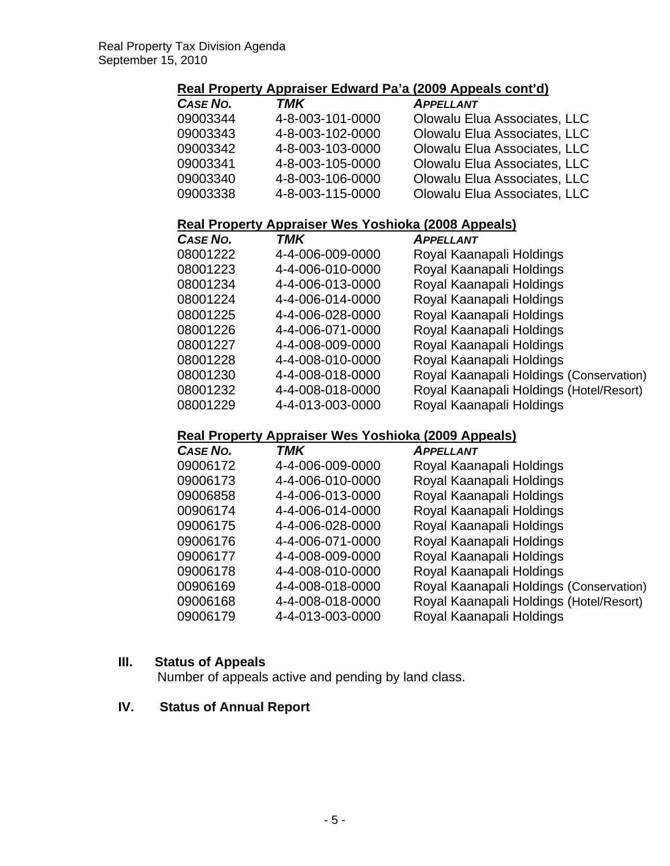#### **Real Property Appraiser Edward Pa'a (2009 Appeals cont'd)**

| <b>CASE NO.</b> | TMK              | <b>APPELLANT</b>             |
|-----------------|------------------|------------------------------|
| 09003344        | 4-8-003-101-0000 | Olowalu Elua Associates, LLC |
| 09003343        | 4-8-003-102-0000 | Olowalu Elua Associates, LLC |
| 09003342        | 4-8-003-103-0000 | Olowalu Elua Associates, LLC |
| 09003341        | 4-8-003-105-0000 | Olowalu Elua Associates, LLC |
| 09003340        | 4-8-003-106-0000 | Olowalu Elua Associates, LLC |
| 09003338        | 4-8-003-115-0000 | Olowalu Elua Associates, LLC |

## **Real Property Appraiser Wes Yoshioka (2008 Appeals)**

| CASE NO. | TMK              | <b>APPELLANT</b>                        |
|----------|------------------|-----------------------------------------|
| 08001222 | 4-4-006-009-0000 | Royal Kaanapali Holdings                |
| 08001223 | 4-4-006-010-0000 | Royal Kaanapali Holdings                |
| 08001234 | 4-4-006-013-0000 | Royal Kaanapali Holdings                |
| 08001224 | 4-4-006-014-0000 | Royal Kaanapali Holdings                |
| 08001225 | 4-4-006-028-0000 | Royal Kaanapali Holdings                |
| 08001226 | 4-4-006-071-0000 | Royal Kaanapali Holdings                |
| 08001227 | 4-4-008-009-0000 | Royal Kaanapali Holdings                |
| 08001228 | 4-4-008-010-0000 | Royal Kaanapali Holdings                |
| 08001230 | 4-4-008-018-0000 | Royal Kaanapali Holdings (Conservation) |
| 08001232 | 4-4-008-018-0000 | Royal Kaanapali Holdings (Hotel/Resort) |
| 08001229 | 4-4-013-003-0000 | Royal Kaanapali Holdings                |

## **Real Property Appraiser Wes Yoshioka (2009 Appeals)**

| CASE NO. | <b>TMK</b>       | <b>APPELLANT</b>                        |
|----------|------------------|-----------------------------------------|
| 09006172 | 4-4-006-009-0000 | Royal Kaanapali Holdings                |
| 09006173 | 4-4-006-010-0000 | Royal Kaanapali Holdings                |
| 09006858 | 4-4-006-013-0000 | Royal Kaanapali Holdings                |
| 00906174 | 4-4-006-014-0000 | Royal Kaanapali Holdings                |
| 09006175 | 4-4-006-028-0000 | Royal Kaanapali Holdings                |
| 09006176 | 4-4-006-071-0000 | Royal Kaanapali Holdings                |
| 09006177 | 4-4-008-009-0000 | Royal Kaanapali Holdings                |
| 09006178 | 4-4-008-010-0000 | Royal Kaanapali Holdings                |
| 00906169 | 4-4-008-018-0000 | Royal Kaanapali Holdings (Conservation) |
| 09006168 | 4-4-008-018-0000 | Royal Kaanapali Holdings (Hotel/Resort) |
| 09006179 | 4-4-013-003-0000 | Royal Kaanapali Holdings                |

#### **III. Status of Appeals**

Number of appeals active and pending by land class.

## **IV. Status of Annual Report**